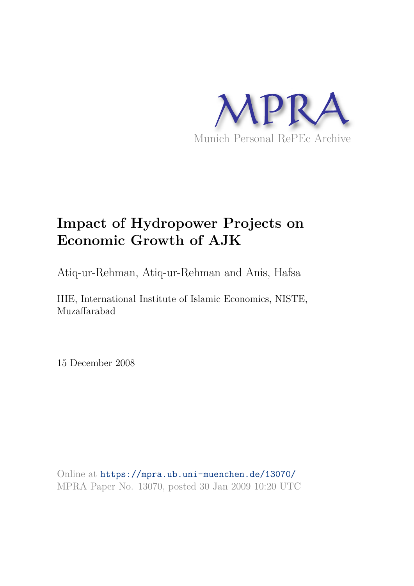

## **Impact of Hydropower Projects on Economic Growth of AJK**

Atiq-ur-Rehman, Atiq-ur-Rehman and Anis, Hafsa

IIIE, International Institute of Islamic Economics, NISTE, Muzaffarabad

15 December 2008

Online at https://mpra.ub.uni-muenchen.de/13070/ MPRA Paper No. 13070, posted 30 Jan 2009 10:20 UTC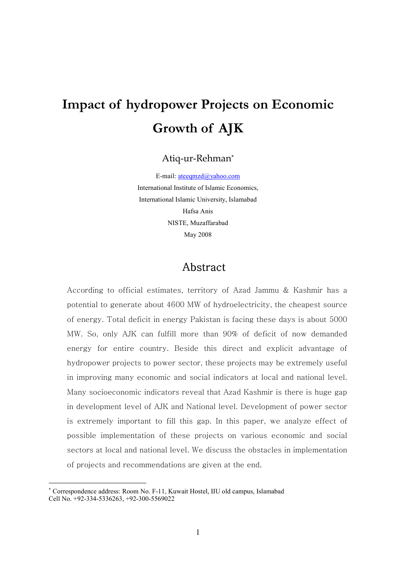# Impact of hydropower Projects on Economic Growth of AJK

Atiq-ur-Rehman\*

E-mail: ateeqmzd@yahoo.com International Institute of Islamic Economics, International Islamic University, Islamabad Hafsa Anis NISTE, Muzaffarabad May 2008

## Abstract

According to official estimates, territory of Azad Jammu & Kashmir has a potential to generate about 4600 MW of hydroelectricity, the cheapest source of energy. Total deficit in energy Pakistan is facing these days is about 5000 MW. So, only AJK can fulfill more than 90% of deficit of now demanded energy for entire country. Beside this direct and explicit advantage of hydropower projects to power sector, these projects may be extremely useful in improving many economic and social indicators at local and national level. Many socioeconomic indicators reveal that Azad Kashmir is there is huge gap in development level of AJK and National level. Development of power sector is extremely important to fill this gap. In this paper, we analyze effect of possible implementation of these projects on various economic and social sectors at local and national level. We discuss the obstacles in implementation of projects and recommendations are given at the end-

------------------------------------------------

<sup>\*</sup> Correspondence address: Room No. F-11, Kuwait Hostel, IIU old campus, Islamabad Cell No. +92-334-5336263, +92-300-5569022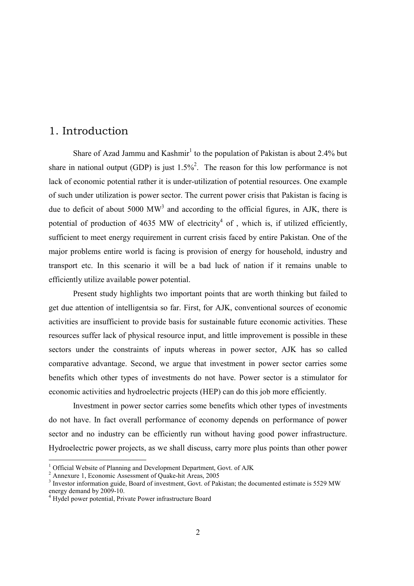## 1. Introduction

Share of Azad Jammu and Kashmir<sup>1</sup> to the population of Pakistan is about 2.4% but share in national output (GDP) is just  $1.5\%$ <sup>2</sup>. The reason for this low performance is not lack of economic potential rather it is under-utilization of potential resources. One example of such under utilization is power sector. The current power crisis that Pakistan is facing is due to deficit of about 5000  $MW^3$  and according to the official figures, in AJK, there is potential of production of 4635 MW of electricity<sup>4</sup> of, which is, if utilized efficiently, sufficient to meet energy requirement in current crisis faced by entire Pakistan. One of the major problems entire world is facing is provision of energy for household, industry and transport etc. In this scenario it will be a bad luck of nation if it remains unable to efficiently utilize available power potential.

Present study highlights two important points that are worth thinking but failed to get due attention of intelligentsia so far. First, for AJK, conventional sources of economic activities are insufficient to provide basis for sustainable future economic activities. These resources suffer lack of physical resource input, and little improvement is possible in these sectors under the constraints of inputs whereas in power sector, AJK has so called comparative advantage. Second, we argue that investment in power sector carries some benefits which other types of investments do not have. Power sector is a stimulator for economic activities and hydroelectric projects (HEP) can do this job more efficiently.

Investment in power sector carries some benefits which other types of investments do not have. In fact overall performance of economy depends on performance of power sector and no industry can be efficiently run without having good power infrastructure. Hydroelectric power projects, as we shall discuss, carry more plus points than other power

<sup>&</sup>lt;sup>1</sup> Official Website of Planning and Development Department, Govt. of AJK

<sup>&</sup>lt;sup>2</sup> Annexure 1, Economic Assessment of Quake-hit Areas, 2005

<sup>&</sup>lt;sup>3</sup> Investor information guide, Board of investment, Govt. of Pakistan; the documented estimate is 5529 MW energy demand by 2009-10.

<sup>&</sup>lt;sup>4</sup> Hydel power potential, Private Power infrastructure Board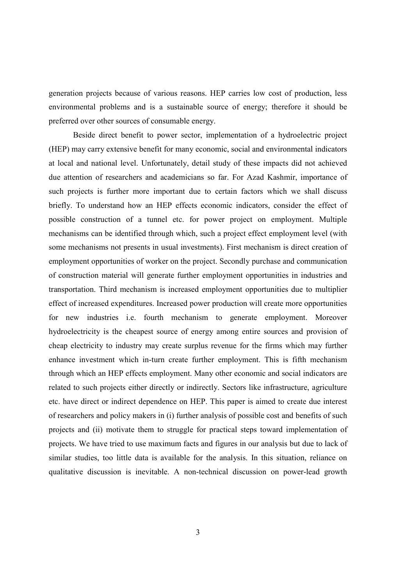generation projects because of various reasons. HEP carries low cost of production, less environmental problems and is a sustainable source of energy; therefore it should be preferred over other sources of consumable energy.

Beside direct benefit to power sector, implementation of a hydroelectric project (HEP) may carry extensive benefit for many economic, social and environmental indicators at local and national level. Unfortunately, detail study of these impacts did not achieved due attention of researchers and academicians so far. For Azad Kashmir, importance of such projects is further more important due to certain factors which we shall discuss briefly. To understand how an HEP effects economic indicators, consider the effect of possible construction of a tunnel etc. for power project on employment. Multiple mechanisms can be identified through which, such a project effect employment level (with some mechanisms not presents in usual investments). First mechanism is direct creation of employment opportunities of worker on the project. Secondly purchase and communication of construction material will generate further employment opportunities in industries and transportation. Third mechanism is increased employment opportunities due to multiplier effect of increased expenditures. Increased power production will create more opportunities for new industries i.e. fourth mechanism to generate employment. Moreover hydroelectricity is the cheapest source of energy among entire sources and provision of cheap electricity to industry may create surplus revenue for the firms which may further enhance investment which in-turn create further employment. This is fifth mechanism through which an HEP effects employment. Many other economic and social indicators are related to such projects either directly or indirectly. Sectors like infrastructure, agriculture etc. have direct or indirect dependence on HEP. This paper is aimed to create due interest of researchers and policy makers in (i) further analysis of possible cost and benefits of such projects and (ii) motivate them to struggle for practical steps toward implementation of projects. We have tried to use maximum facts and figures in our analysis but due to lack of similar studies, too little data is available for the analysis. In this situation, reliance on qualitative discussion is inevitable. A non-technical discussion on power-lead growth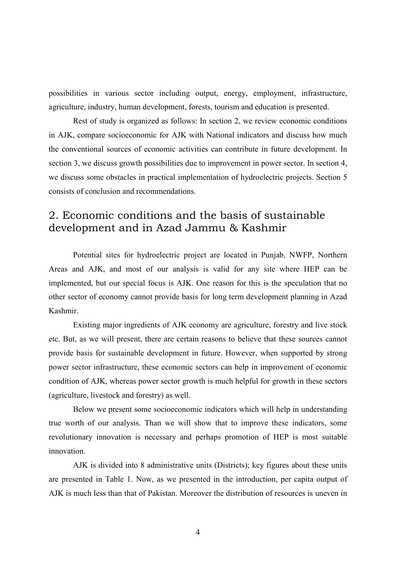possibilities in various sector including output, energy, employment, infrastructure, agriculture, industry, human development, forests, tourism and education is presented.

Rest of study is organized as follows: In section 2, we review economic conditions in AJK, compare socioeconomic for AJK with National indicators and discuss how much the conventional sources of economic activities can contribute in future development. In section 3, we discuss growth possibilities due to improvement in power sector. In section 4, we discuss some obstacles in practical implementation of hydroelectric projects. Section 5 consists of conclusion and recommendations.

## 2. Economic conditions and the basis of sustainable development and in Azad Jammu & Kashmir

Potential sites for hydroelectric project are located in Punjab, NWFP, Northern Areas and AJK, and most of our analysis is valid for any site where HEP can be implemented, but our special focus is AJK. One reason for this is the speculation that no other sector of economy cannot provide basis for long term development planning in Azad Kashmir

Existing major ingredients of AJK economy are agriculture, forestry and live stock etc. But, as we will present, there are certain reasons to believe that these sources cannot provide basis for sustainable development in future. However, when supported by strong power sector infrastructure, these economic sectors can help in improvement of economic condition of AJK, whereas power sector growth is much helpful for growth in these sectors (agriculture, livestock and forestry) as well.

Below we present some socioeconomic indicators which will help in understanding true worth of our analysis. Than we will show that to improve these indicators, some revolutionary innovation is necessary and perhaps promotion of HEP is most suitable innovation.

AJK is divided into 8 administrative units (Districts); key figures about these units are presented in Table 1. Now, as we presented in the introduction, per capita output of AJK is much less than that of Pakistan. Moreover the distribution of resources is uneven in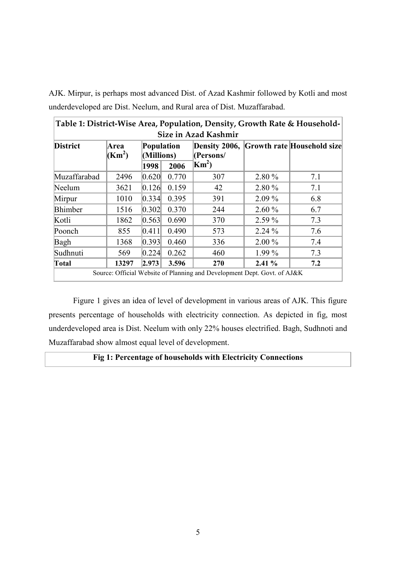| AJK. Mirpur, is perhaps most advanced Dist. of Azad Kashmir followed by Kotli and most |
|----------------------------------------------------------------------------------------|
| underdeveloped are Dist. Neelum, and Rural area of Dist. Muzaffarabad.                 |

| Size in Azad Kashmir |                            |                          |       |               |          |                                          |
|----------------------|----------------------------|--------------------------|-------|---------------|----------|------------------------------------------|
| <b>District</b>      | Area<br>(Km <sup>2</sup> ) | Population<br>(Millions) |       | (Persons/     |          | Density 2006, Growth rate Household size |
|                      |                            | 1998                     | 2006  | $\text{Km}^2$ |          |                                          |
| Muzaffarabad         | 2496                       | 0.620                    | 0.770 | 307           | 2.80 %   | 7.1                                      |
| Neelum               | 3621                       | 0.126                    | 0.159 | 42            | 2.80 %   | 7.1                                      |
| Mirpur               | 1010                       | 0.334                    | 0.395 | 391           | $2.09\%$ | 6.8                                      |
| <b>Bhimber</b>       | 1516                       | 0.302                    | 0.370 | 244           | 2.60%    | 6.7                                      |
| Kotli                | 1862                       | 0.563                    | 0.690 | 370           | 2.59 %   | 7.3                                      |
| Poonch               | 855                        | 0.411                    | 0.490 | 573           | 2.24 %   | 7.6                                      |
| Bagh                 | 1368                       | 0.393                    | 0.460 | 336           | 2.00 %   | 7.4                                      |
| Sudhnuti             | 569                        | 0.224                    | 0.262 | 460           | $1.99\%$ | 7.3                                      |
| Total                | 13297                      | 2.973                    | 3.596 | 270           | 2.41%    | 7.2                                      |

Figure 1 gives an idea of level of development in various areas of AJK. This figure presents percentage of households with electricity connection. As depicted in fig, most underdeveloped area is Dist. Neelum with only 22% houses electrified. Bagh, Sudhnoti and Muzaffarabad show almost equal level of development.

#### Fig 1: Percentage of households with Electricity Connections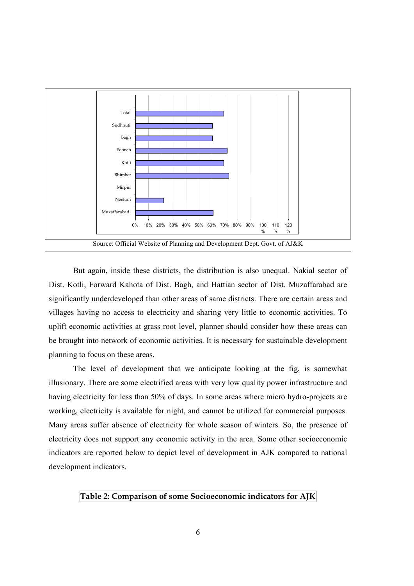

But again, inside these districts, the distribution is also unequal. Nakial sector of Dist. Kotli, Forward Kahota of Dist. Bagh, and Hattian sector of Dist. Muzaffarabad are significantly underdeveloped than other areas of same districts. There are certain areas and villages having no access to electricity and sharing very little to economic activities. To uplift economic activities at grass root level, planner should consider how these areas can be brought into network of economic activities. It is necessary for sustainable development planning to focus on these areas.

The level of development that we anticipate looking at the fig, is somewhat illusionary. There are some electrified areas with very low quality power infrastructure and having electricity for less than 50% of days. In some areas where micro hydro-projects are working, electricity is available for night, and cannot be utilized for commercial purposes. Many areas suffer absence of electricity for whole season of winters. So, the presence of electricity does not support any economic activity in the area. Some other socioeconomic indicators are reported below to depict level of development in AJK compared to national development indicators.

Table 2: Comparison of some Socioeconomic indicators for AJK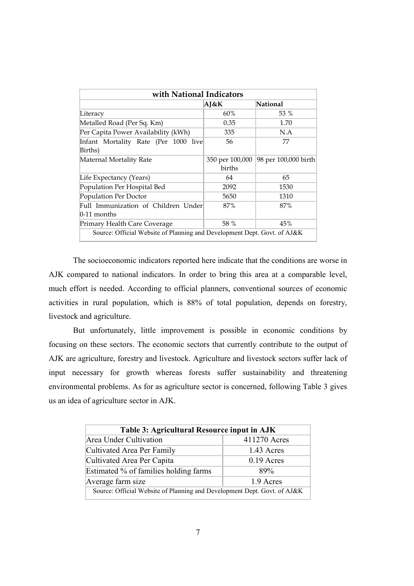| with National Indicators                                                 |                 |                      |  |  |
|--------------------------------------------------------------------------|-----------------|----------------------|--|--|
|                                                                          | AJ&K            | National             |  |  |
| Literacy                                                                 | 60%             | 53 %                 |  |  |
| Metalled Road (Per Sq. Km)                                               | 0.35            | 1.70                 |  |  |
| Per Capita Power Availability (kWh)                                      | 335             | N.A                  |  |  |
| Infant Mortality Rate (Per 1000 live                                     | 56              | 77                   |  |  |
| Births)                                                                  |                 |                      |  |  |
| Maternal Mortality Rate                                                  | 350 per 100,000 | 98 per 100,000 birth |  |  |
|                                                                          | births          |                      |  |  |
| Life Expectancy (Years)                                                  | 64              | 65                   |  |  |
| Population Per Hospital Bed                                              | 2092            | 1530                 |  |  |
| Population Per Doctor                                                    | 5650            | 1310                 |  |  |
| Full Immunization of Children Under                                      | 87%             | 87%                  |  |  |
| $0-11$ months                                                            |                 |                      |  |  |
| Primary Health Care Coverage                                             | 58 %            | 45%                  |  |  |
| Source: Official Website of Planning and Development Dept. Govt. of AJ&K |                 |                      |  |  |

The socioeconomic indicators reported here indicate that the conditions are worse in AJK compared to national indicators. In order to bring this area at a comparable level, much effort is needed. According to official planners, conventional sources of economic activities in rural population, which is 88% of total population, depends on forestry, livestock and agriculture.

But unfortunately, little improvement is possible in economic conditions by focusing on these sectors. The economic sectors that currently contribute to the output of AJK are agriculture, forestry and livestock. Agriculture and livestock sectors suffer lack of input necessary for growth whereas forests suffer sustainability and threatening environmental problems. As for as agriculture sector is concerned, following Table 3 gives us an idea of agriculture sector in AJK.

| Table 3: Agricultural Resource input in AJK                              |              |  |  |  |
|--------------------------------------------------------------------------|--------------|--|--|--|
| <b>Area Under Cultivation</b>                                            | 411270 Acres |  |  |  |
| Cultivated Area Per Family                                               | 1.43 Acres   |  |  |  |
| Cultivated Area Per Capita                                               | $0.19$ Acres |  |  |  |
| Estimated % of families holding farms                                    | 89%          |  |  |  |
| Average farm size<br>1.9 Acres                                           |              |  |  |  |
| Source: Official Website of Planning and Development Dept. Govt. of AJ&K |              |  |  |  |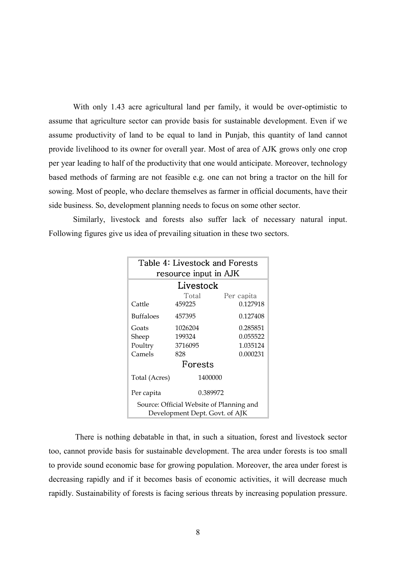With only 1.43 acre agricultural land per family, it would be over-optimistic to assume that agriculture sector can provide basis for sustainable development. Even if we assume productivity of land to be equal to land in Punjab, this quantity of land cannot provide livelihood to its owner for overall year. Most of area of AJK grows only one crop per year leading to half of the productivity that one would anticipate. Moreover, technology based methods of farming are not feasible e.g. one can not bring a tractor on the hill for sowing. Most of people, who declare themselves as farmer in official documents, have their side business. So, development planning needs to focus on some other sector.

Similarly, livestock and forests also suffer lack of necessary natural input. Following figures give us idea of prevailing situation in these two sectors.

| Table 4: Livestock and Forests           |          |            |  |  |  |
|------------------------------------------|----------|------------|--|--|--|
| resource input in AJK                    |          |            |  |  |  |
| Livestock                                |          |            |  |  |  |
|                                          | Total    | Per capita |  |  |  |
| Cattle                                   | 459225   | 0.127918   |  |  |  |
| <b>Buffaloes</b>                         | 457395   | 0.127408   |  |  |  |
| Goats                                    | 1026204  | 0.285851   |  |  |  |
| Sheep                                    | 199324   | 0.055522   |  |  |  |
| Poultry                                  | 3716095  | 1.035124   |  |  |  |
| Camels                                   | 828      | 0.000231   |  |  |  |
| Forests                                  |          |            |  |  |  |
| Total (Acres)                            | 1400000  |            |  |  |  |
| Per capita                               | 0.389972 |            |  |  |  |
| Source: Official Website of Planning and |          |            |  |  |  |
| Development Dept. Govt. of AJK           |          |            |  |  |  |

There is nothing debatable in that, in such a situation, forest and livestock sector too, cannot provide basis for sustainable development. The area under forests is too small to provide sound economic base for growing population. Moreover, the area under forest is decreasing rapidly and if it becomes basis of economic activities, it will decrease much rapidly. Sustainability of forests is facing serious threats by increasing population pressure.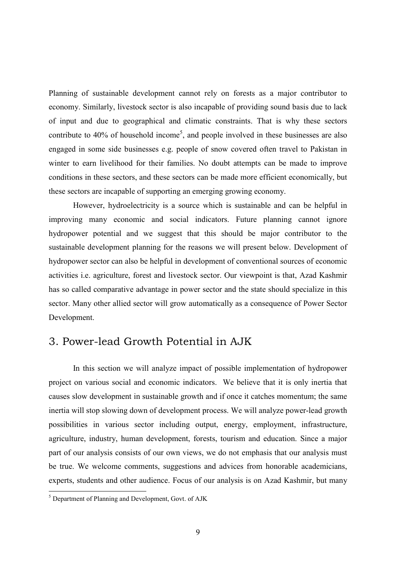Planning of sustainable development cannot rely on forests as a major contributor to economy. Similarly, livestock sector is also incapable of providing sound basis due to lack of input and due to geographical and climatic constraints. That is why these sectors contribute to 40% of household income<sup>5</sup>, and people involved in these businesses are also engaged in some side businesses e.g. people of snow covered often travel to Pakistan in winter to earn livelihood for their families. No doubt attempts can be made to improve conditions in these sectors, and these sectors can be made more efficient economically, but these sectors are incapable of supporting an emerging growing economy.

However, hydroelectricity is a source which is sustainable and can be helpful in improving many economic and social indicators. Future planning cannot ignore hydropower potential and we suggest that this should be major contributor to the sustainable development planning for the reasons we will present below. Development of hydropower sector can also be helpful in development of conventional sources of economic activities i.e. agriculture, forest and livestock sector. Our viewpoint is that, Azad Kashmir has so called comparative advantage in power sector and the state should specialize in this sector. Many other allied sector will grow automatically as a consequence of Power Sector Development.

## 3. Power-lead Growth Potential in AJK

In this section we will analyze impact of possible implementation of hydropower project on various social and economic indicators. We believe that it is only inertia that causes slow development in sustainable growth and if once it catches momentum; the same inertia will stop slowing down of development process. We will analyze power-lead growth possibilities in various sector including output, energy, employment, infrastructure, agriculture, industry, human development, forests, tourism and education. Since a major part of our analysis consists of our own views, we do not emphasis that our analysis must be true. We welcome comments, suggestions and advices from honorable academicians, experts, students and other audience. Focus of our analysis is on Azad Kashmir, but many

 $5$  Department of Planning and Development. Govt. of AJK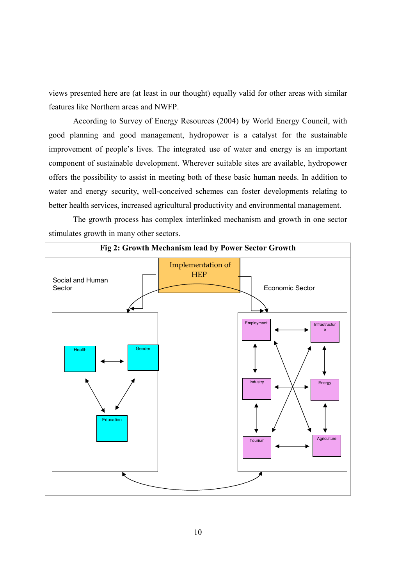views presented here are (at least in our thought) equally valid for other areas with similar features like Northern areas and NWFP.

According to Survey of Energy Resources (2004) by World Energy Council, with good planning and good management, hydropower is a catalyst for the sustainable improvement of people's lives. The integrated use of water and energy is an important component of sustainable development. Wherever suitable sites are available, hydropower offers the possibility to assist in meeting both of these basic human needs. In addition to water and energy security, well-conceived schemes can foster developments relating to better health services, increased agricultural productivity and environmental management.

The growth process has complex interlinked mechanism and growth in one sector stimulates growth in many other sectors.

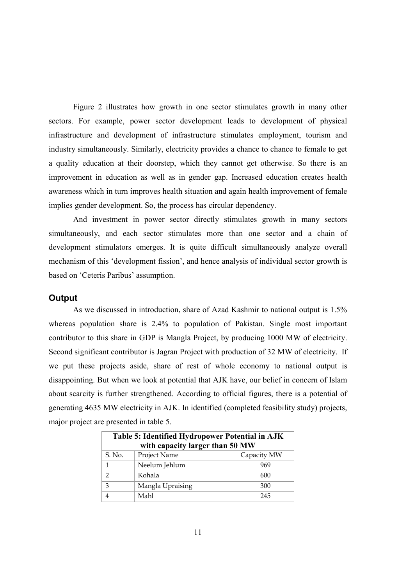Figure 2 illustrates how growth in one sector stimulates growth in many other sectors. For example, power sector development leads to development of physical infrastructure and development of infrastructure stimulates employment, tourism and industry simultaneously. Similarly, electricity provides a chance to chance to female to get a quality education at their doorstep, which they cannot get otherwise. So there is an improvement in education as well as in gender gap. Increased education creates health awareness which in turn improves health situation and again health improvement of female implies gender development. So, the process has circular dependency.

And investment in power sector directly stimulates growth in many sectors simultaneously, and each sector stimulates more than one sector and a chain of development stimulators emerges. It is quite difficult simultaneously analyze overall mechanism of this 'development fission', and hence analysis of individual sector growth is based on 'Ceteris Paribus' assumption.

#### Output

As we discussed in introduction, share of Azad Kashmir to national output is 1.5% whereas population share is 2.4% to population of Pakistan. Single most important contributor to this share in GDP is Mangla Project, by producing 1000 MW of electricity. Second significant contributor is Jagran Project with production of 32 MW of electricity. If we put these projects aside, share of rest of whole economy to national output is disappointing. But when we look at potential that AJK have, our belief in concern of Islam about scarcity is further strengthened. According to official figures, there is a potential of generating 4635 MW electricity in AJK. In identified (completed feasibility study) projects, major project are presented in table 5.

| Table 5: Identified Hydropower Potential in AJK<br>with capacity larger than 50 MW |                  |             |  |  |
|------------------------------------------------------------------------------------|------------------|-------------|--|--|
| S. No.                                                                             | Project Name     | Capacity MW |  |  |
| 1                                                                                  | Neelum Jehlum    | 969         |  |  |
| $\mathcal{D}$                                                                      | Kohala           | 600         |  |  |
| 3                                                                                  | Mangla Upraising | 300         |  |  |
|                                                                                    | Mahl             | 245         |  |  |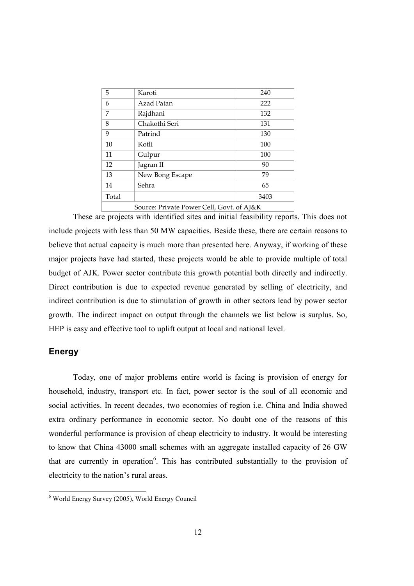| 5                                         | Karoti          | 240  |  |
|-------------------------------------------|-----------------|------|--|
| 6                                         | Azad Patan      | 222  |  |
| 7                                         | Rajdhani        | 132  |  |
| 8                                         | Chakothi Seri   | 131  |  |
| 9                                         | Patrind         | 130  |  |
| 10                                        | Kotli           | 100  |  |
| 11                                        | Gulpur          | 100  |  |
| 12                                        | Jagran II       | 90   |  |
| 13                                        | New Bong Escape | 79   |  |
| 14                                        | Sehra           | 65   |  |
| Total                                     |                 | 3403 |  |
| Source: Private Power Cell, Govt. of AJ&K |                 |      |  |

These are projects with identified sites and initial feasibility reports. This does not include projects with less than 50 MW capacities. Beside these, there are certain reasons to believe that actual capacity is much more than presented here. Anyway, if working of these major projects have had started, these projects would be able to provide multiple of total budget of AJK. Power sector contribute this growth potential both directly and indirectly. Direct contribution is due to expected revenue generated by selling of electricity, and indirect contribution is due to stimulation of growth in other sectors lead by power sector growth. The indirect impact on output through the channels we list below is surplus. So, HEP is easy and effective tool to uplift output at local and national level.

#### Energy

Today, one of major problems entire world is facing is provision of energy for household, industry, transport etc. In fact, power sector is the soul of all economic and social activities. In recent decades, two economies of region i.e. China and India showed extra ordinary performance in economic sector. No doubt one of the reasons of this wonderful performance is provision of cheap electricity to industry. It would be interesting to know that China 43000 small schemes with an aggregate installed capacity of 26 GW that are currently in operation<sup>6</sup>. This has contributed substantially to the provision of electricity to the nation's rural areas.

 $6$  World Energy Survey (2005). World Energy Council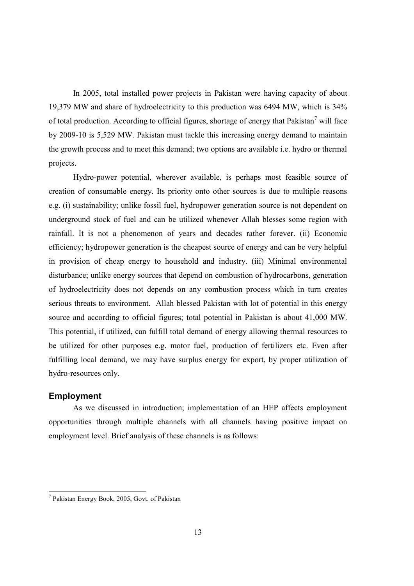In 2005, total installed power projects in Pakistan were having capacity of about 19,379 MW and share of hydroelectricity to this production was 6494 MW, which is 34% of total production. According to official figures, shortage of energy that Pakistan<sup>7</sup> will face by 2009-10 is 5,529 MW. Pakistan must tackle this increasing energy demand to maintain the growth process and to meet this demand; two options are available *i.e.* hydro or thermal projects.

Hydro-power potential, wherever available, is perhaps most feasible source of creation of consumable energy. Its priority onto other sources is due to multiple reasons e.g. (i) sustainability; unlike fossil fuel, hydropower generation source is not dependent on underground stock of fuel and can be utilized whenever Allah blesses some region with rainfall. It is not a phenomenon of years and decades rather forever. (ii) Economic efficiency; hydropower generation is the cheapest source of energy and can be very helpful in provision of cheap energy to household and industry. (iii) Minimal environmental disturbance; unlike energy sources that depend on combustion of hydrocarbons, generation of hydroelectricity does not depends on any combustion process which in turn creates serious threats to environment. Allah blessed Pakistan with lot of potential in this energy source and according to official figures; total potential in Pakistan is about 41,000 MW. This potential, if utilized, can fulfill total demand of energy allowing thermal resources to be utilized for other purposes e.g. motor fuel, production of fertilizers etc. Even after fulfilling local demand, we may have surplus energy for export, by proper utilization of hydro-resources only.

#### **Employment**

As we discussed in introduction; implementation of an HEP affects employment opportunities through multiple channels with all channels having positive impact on employment level. Brief analysis of these channels is as follows:

<sup>&</sup>lt;sup>7</sup> Pakistan Energy Book, 2005, Govt. of Pakistan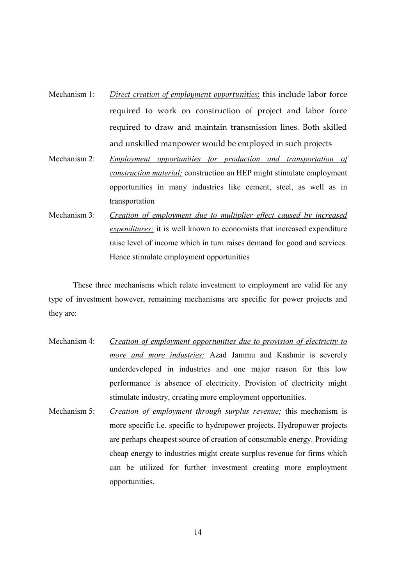- Mechanism 1: *Direct creation of employment opportunities;* this include labor force required to work on construction of project and labor force required to draw and maintain transmission lines. Both skilled and unskilled manpower would be employed in such projects
- Mechanism 2: *<u><i>Employment opportunities for production and transportation of*</u> construction material; construction an HEP might stimulate employment opportunities in many industries like cement, steel, as well as in transportation
- Mechanism 3: *Creation of employment due to multiplier effect caused by increased expenditures*; it is well known to economists that increased expenditure raise level of income which in turn raises demand for good and services. Hence stimulate employment opportunities

These three mechanisms which relate investment to employment are valid for any type of investment however, remaining mechanisms are specific for power projects and they are:

- Mechanism 4: *Creation of employment opportunities due to provision of electricity to more and more industries*; Azad Jammu and Kashmir is severely underdeveloped in industries and one major reason for this low performance is absence of electricity. Provision of electricity might stimulate industry, creating more employment opportunities.
- Mechanism 5: *Creation of employment through surplus revenue;* this mechanism is more specific i.e. specific to hydropower projects. Hydropower projects are perhaps cheapest source of creation of consumable energy. Providing cheap energy to industries might create surplus revenue for firms which can be utilized for further investment creating more employment opportunities.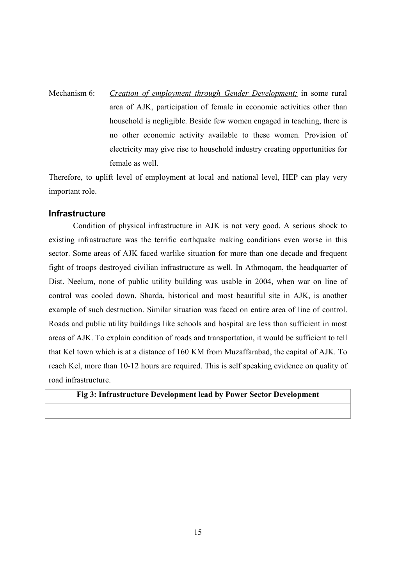## Mechanism  $6$ Creation of employment through Gender Development; in some rural area of AJK, participation of female in economic activities other than household is negligible. Beside few women engaged in teaching, there is no other economic activity available to these women. Provision of electricity may give rise to household industry creating opportunities for female as well.

Therefore, to uplift level of employment at local and national level, HEP can play very important role.

#### **Infrastructure**

Condition of physical infrastructure in AJK is not very good. A serious shock to existing infrastructure was the terrific earthquake making conditions even worse in this sector. Some areas of AJK faced warlike situation for more than one decade and frequent fight of troops destroyed civilian infrastructure as well. In Athmogam, the headquarter of Dist. Neelum, none of public utility building was usable in 2004, when war on line of control was cooled down. Sharda, historical and most beautiful site in AJK, is another example of such destruction. Similar situation was faced on entire area of line of control. Roads and public utility buildings like schools and hospital are less than sufficient in most areas of AJK. To explain condition of roads and transportation, it would be sufficient to tell that Kel town which is at a distance of 160 KM from Muzaffarabad, the capital of AJK. To reach Kel, more than 10-12 hours are required. This is self speaking evidence on quality of road infrastructure.

#### Fig 3: Infrastructure Development lead by Power Sector Development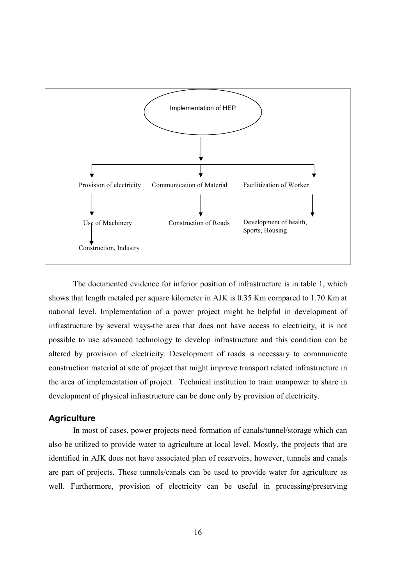

The documented evidence for inferior position of infrastructure is in table 1, which shows that length metaled per square kilometer in AJK is 0.35 Km compared to 1.70 Km at national level. Implementation of a power project might be helpful in development of infrastructure by several ways-the area that does not have access to electricity, it is not possible to use advanced technology to develop infrastructure and this condition can be altered by provision of electricity. Development of roads is necessary to communicate construction material at site of project that might improve transport related infrastructure in the area of implementation of project. Technical institution to train manpower to share in development of physical infrastructure can be done only by provision of electricity.

#### **Agriculture**

In most of cases, power projects need formation of canals/tunnel/storage which can also be utilized to provide water to agriculture at local level. Mostly, the projects that are identified in AJK does not have associated plan of reservoirs, however, tunnels and canals are part of projects. These tunnels/canals can be used to provide water for agriculture as well. Furthermore, provision of electricity can be useful in processing/preserving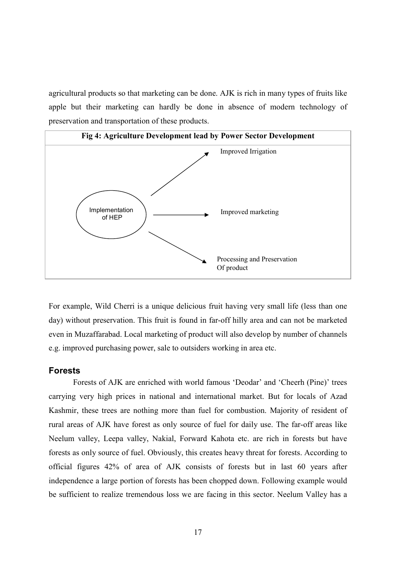agricultural products so that marketing can be done. AJK is rich in many types of fruits like apple but their marketing can hardly be done in absence of modern technology of preservation and transportation of these products.



For example, Wild Cherri is a unique delicious fruit having very small life (less than one day) without preservation. This fruit is found in far-off hilly area and can not be marketed even in Muzaffarabad. Local marketing of product will also develop by number of channels e.g. improved purchasing power, sale to outsiders working in area etc.

#### **Forests**

Forests of AJK are enriched with world famous 'Deodar' and 'Cheerh (Pine)' trees carrying very high prices in national and international market. But for locals of Azad Kashmir, these trees are nothing more than fuel for combustion. Majority of resident of rural areas of AJK have forest as only source of fuel for daily use. The far-off areas like Neelum valley, Leepa valley, Nakial, Forward Kahota etc. are rich in forests but have forests as only source of fuel. Obviously, this creates heavy threat for forests. According to official figures 42% of area of AJK consists of forests but in last 60 years after independence a large portion of forests has been chopped down. Following example would be sufficient to realize tremendous loss we are facing in this sector. Neelum Valley has a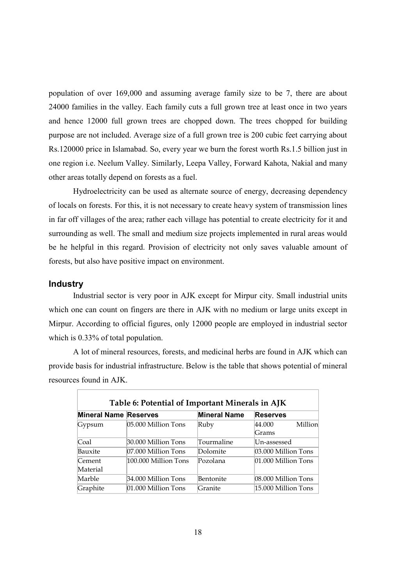population of over 169,000 and assuming average family size to be 7, there are about 24000 families in the valley. Each family cuts a full grown tree at least once in two years and hence 12000 full grown trees are chopped down. The trees chopped for building purpose are not included. Average size of a full grown tree is 200 cubic feet carrying about Rs.120000 price in Islamabad. So, every year we burn the forest worth Rs.1.5 billion just in one region i.e. Neelum Valley. Similarly, Leepa Valley, Forward Kahota, Nakial and many other areas totally depend on forests as a fuel.

Hydroelectricity can be used as alternate source of energy, decreasing dependency of locals on forests. For this, it is not necessary to create heavy system of transmission lines in far off villages of the area; rather each village has potential to create electricity for it and surrounding as well. The small and medium size projects implemented in rural areas would be he helpful in this regard. Provision of electricity not only saves valuable amount of forests, but also have positive impact on environment.

#### **Industry**

Industrial sector is very poor in AJK except for Mirpur city. Small industrial units which one can count on fingers are there in AJK with no medium or large units except in Mirpur. According to official figures, only 12000 people are employed in industrial sector which is  $0.33\%$  of total population.

A lot of mineral resources, forests, and medicinal herbs are found in AJK which can provide basis for industrial infrastructure. Below is the table that shows potential of mineral resources found in AJK.

| Table 6: Potential of Important Minerals in AJK |                      |                     |                     |  |  |
|-------------------------------------------------|----------------------|---------------------|---------------------|--|--|
| <b>Mineral Name Reserves</b>                    |                      | <b>Mineral Name</b> | <b>Reserves</b>     |  |  |
| Gypsum                                          | 05.000 Million Tons  | Ruby                | Million<br>44.000   |  |  |
|                                                 |                      |                     | Grams               |  |  |
| Coal                                            | 30.000 Million Tons  | Tourmaline          | Un-assessed         |  |  |
| Bauxite                                         | 07.000 Million Tons  | Dolomite            | 03.000 Million Tons |  |  |
| Cement                                          | 100.000 Million Tons | Pozolana            | 01.000 Million Tons |  |  |
| Material                                        |                      |                     |                     |  |  |
| Marble                                          | 34.000 Million Tons  | Bentonite           | 08.000 Million Tons |  |  |
| Graphite                                        | 01.000 Million Tons  | Granite             | 15.000 Million Tons |  |  |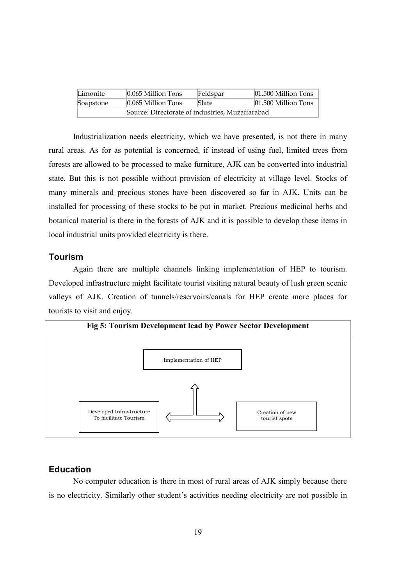| Limonite                                        | $0.065$ Million Tons | Feldspar | $[01.500$ Million Tons |  |
|-------------------------------------------------|----------------------|----------|------------------------|--|
| Soapstone                                       | $0.065$ Million Tons | Slate    | $[01.500$ Million Tons |  |
| Source: Directorate of industries, Muzaffarabad |                      |          |                        |  |

Industrialization needs electricity, which we have presented, is not there in many rural areas. As for as potential is concerned, if instead of using fuel, limited trees from forests are allowed to be processed to make furniture, AJK can be converted into industrial state. But this is not possible without provision of electricity at village level. Stocks of many minerals and precious stones have been discovered so far in AJK. Units can be installed for processing of these stocks to be put in market. Precious medicinal herbs and botanical material is there in the forests of AJK and it is possible to develop these items in local industrial units provided electricity is there.

#### **Tourism**

Again there are multiple channels linking implementation of HEP to tourism. Developed infrastructure might facilitate tourist visiting natural beauty of lush green scenic valleys of AJK. Creation of tunnels/reservoirs/canals for HEP create more places for tourists to visit and enjoy.



#### **Education**

No computer education is there in most of rural areas of AJK simply because there is no electricity. Similarly other student's activities needing electricity are not possible in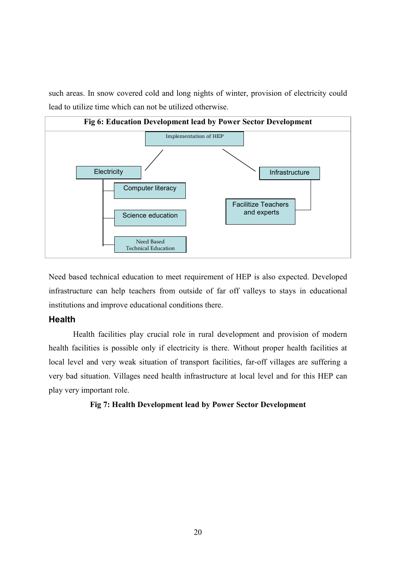such areas. In snow covered cold and long nights of winter, provision of electricity could lead to utilize time which can not be utilized otherwise.



Need based technical education to meet requirement of HEP is also expected. Developed infrastructure can help teachers from outside of far off valleys to stays in educational institutions and improve educational conditions there.

#### **Health**

Health facilities play crucial role in rural development and provision of modern health facilities is possible only if electricity is there. Without proper health facilities at local level and very weak situation of transport facilities, far-off villages are suffering a very bad situation. Villages need health infrastructure at local level and for this HEP can play very important role.

#### Fig 7: Health Development lead by Power Sector Development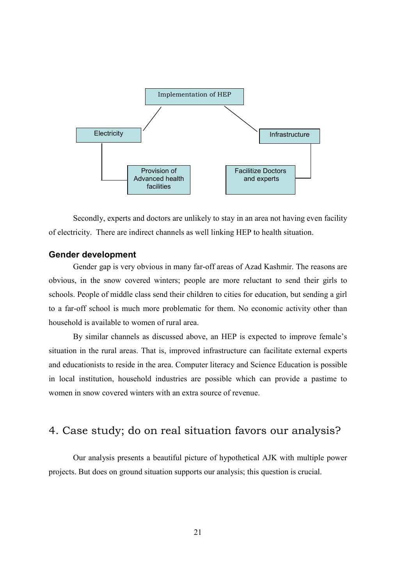

Secondly, experts and doctors are unlikely to stay in an area not having even facility of electricity. There are indirect channels as well linking HEP to health situation.

#### **Gender development**

Gender gap is very obvious in many far-off areas of Azad Kashmir. The reasons are obvious, in the snow covered winters; people are more reluctant to send their girls to schools. People of middle class send their children to cities for education, but sending a girl to a far-off school is much more problematic for them. No economic activity other than household is available to women of rural area.

By similar channels as discussed above, an HEP is expected to improve female's situation in the rural areas. That is, improved infrastructure can facilitate external experts and educationists to reside in the area. Computer literacy and Science Education is possible in local institution, household industries are possible which can provide a pastime to women in snow covered winters with an extra source of revenue.

## 4. Case study; do on real situation favors our analysis?

Our analysis presents a beautiful picture of hypothetical AJK with multiple power projects. But does on ground situation supports our analysis; this question is crucial.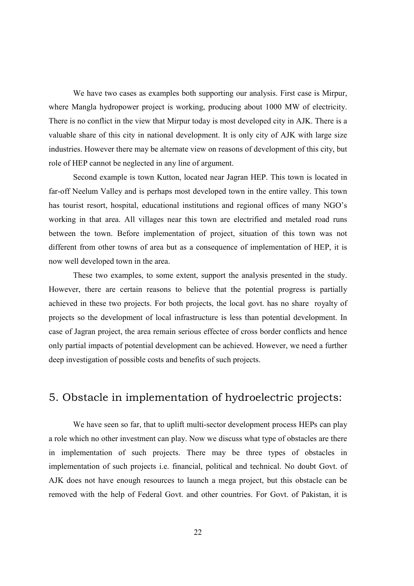We have two cases as examples both supporting our analysis. First case is Mirpur, where Mangla hydropower project is working, producing about 1000 MW of electricity. There is no conflict in the view that Mirpur today is most developed city in AJK. There is a valuable share of this city in national development. It is only city of AJK with large size industries. However there may be alternate view on reasons of development of this city, but role of HEP cannot be neglected in any line of argument.

Second example is town Kutton, located near Jagran HEP. This town is located in far-off Neelum Valley and is perhaps most developed town in the entire valley. This town has tourist resort, hospital, educational institutions and regional offices of many NGO's working in that area. All villages near this town are electrified and metaled road runs between the town. Before implementation of project, situation of this town was not different from other towns of area but as a consequence of implementation of HEP, it is now well developed town in the area.

These two examples, to some extent, support the analysis presented in the study. However, there are certain reasons to believe that the potential progress is partially achieved in these two projects. For both projects, the local govt. has no share royalty of projects so the development of local infrastructure is less than potential development. In case of Jagran project, the area remain serious effectee of cross border conflicts and hence only partial impacts of potential development can be achieved. However, we need a further deep investigation of possible costs and benefits of such projects.

## 5. Obstacle in implementation of hydroelectric projects:

We have seen so far, that to uplift multi-sector development process HEPs can play a role which no other investment can play. Now we discuss what type of obstacles are there in implementation of such projects. There may be three types of obstacles in implementation of such projects i.e. financial, political and technical. No doubt Govt. of AJK does not have enough resources to launch a mega project, but this obstacle can be removed with the help of Federal Govt. and other countries. For Govt. of Pakistan, it is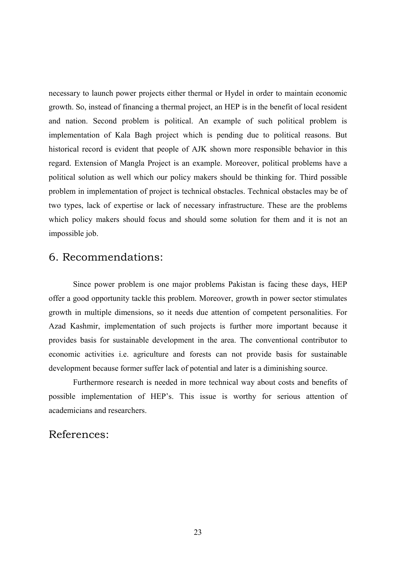necessary to launch power projects either thermal or Hydel in order to maintain economic growth. So, instead of financing a thermal project, an HEP is in the benefit of local resident and nation. Second problem is political. An example of such political problem is implementation of Kala Bagh project which is pending due to political reasons. But historical record is evident that people of AJK shown more responsible behavior in this regard. Extension of Mangla Project is an example. Moreover, political problems have a political solution as well which our policy makers should be thinking for. Third possible problem in implementation of project is technical obstacles. Technical obstacles may be of two types, lack of expertise or lack of necessary infrastructure. These are the problems which policy makers should focus and should some solution for them and it is not an impossible job.

## 6. Recommendations:

Since power problem is one major problems Pakistan is facing these days, HEP offer a good opportunity tackle this problem. Moreover, growth in power sector stimulates growth in multiple dimensions, so it needs due attention of competent personalities. For Azad Kashmir, implementation of such projects is further more important because it provides basis for sustainable development in the area. The conventional contributor to economic activities *i.e.* agriculture and forests can not provide basis for sustainable development because former suffer lack of potential and later is a diminishing source.

Furthermore research is needed in more technical way about costs and benefits of possible implementation of HEP's. This issue is worthy for serious attention of academicians and researchers.

### References: